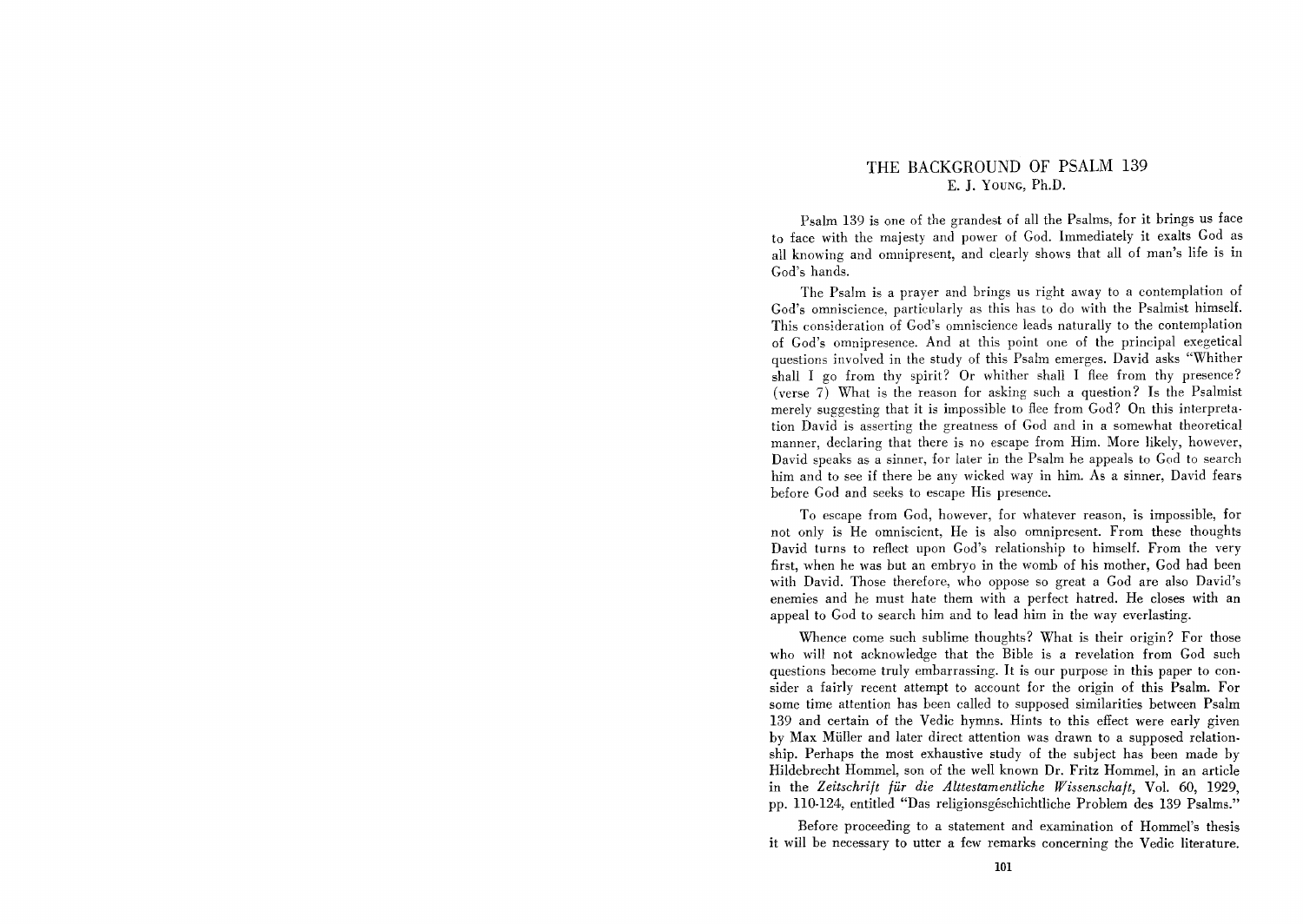## THE BACKGROUND OF PSALM 139 E. J. YOUNG, Ph.D.

Psalm 139 is one of the grandest of all the Psalms, for it brings us face to face with the majesty and power of God. Immediately it exalts God as all knowing and omnipresent, and clearly shows that all of man's life is in God's hands.

The Psalm is a prayer and brings us right away to a contemplation of God's omniscience, particularly as this has to do with the Psalmist himself. This consideration of God's omniscience leads naturally to the contemplation of God's omnipresence. And at this point one of the principal exegetical questions involved in the study of this Psalm emerges. David asks "Whither shall I go from thy spirit? Or whither shall I flee from thy presence? (verse 7) What is the reason for asking such a question? Is the Psalmist merely suggesting that it is impossible to flee from God? On this interpretation David is asserting the greatness of God and in a somewhat theoretical manner, declaring that there is no escape from Him. More likely, however, David speaks as a sinner, for later in the Psalm he appeals to God to search him and to see if there be any wicked way in him. As a sinner, David fears before God and seeks to escape His presence.

To escape from God, however, for whatever reason, is impossible, for not only is He omniscient, He is also omnipresent. From these thonghts David turns to reflect upon God's relationship to himself. From the very first, when he was but an embryo in the womb of his mother, God had been with David. Those therefore, who oppose so great a God are also David's enemies and he must hate them with a perfect hatred. He closes with an appeal to God to search him and to lead him in the way everlasting.

Whence come such sublime thoughts? What is their origin? For those who will not acknowledge that the Bible is a revelation from God such questions become truly embarrassing. It is our purpose in this paper to con· sider a fairly recent attempt to account for the origin of this Psalm. For some time attention has been called to supposed similarities between Psalm 139 and certain of the Vedic hymns. Hints to this effect were early given by Max Miiller and later direct attention was drawn to a supposed relation. ship. Perhaps the most exhaustive study of the subject has been made by Hildebrecht Hommel, son of the well known Dr. Fritz Hommel, in an article in the *Zeitschrift fur die Alttestamentliche Wissenschaft,* Vol. 60, 1929, pp. 110·124, entitled "Das religionsgeschichtliche Problem des 139 Psalms."

Before proceeding to a statement and examination of Hommel's thesis it will be necessary to utter a few remarks concerning the Vedic literature.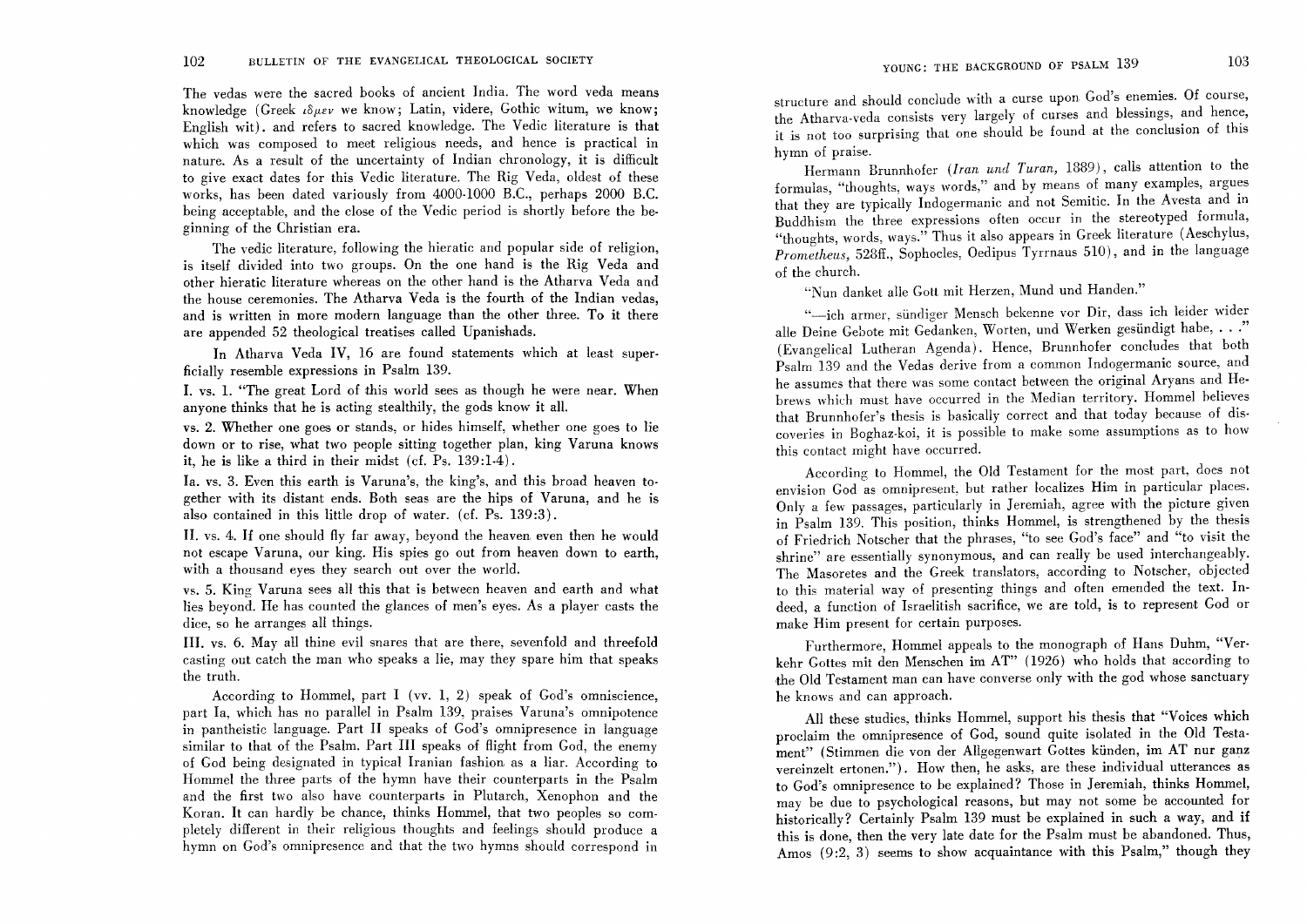The vedas were the sacred books of ancient India. The word veda means knowledge. (Greek  $\iota\delta\mu\epsilon\nu$  we know; Latin, videre, Gothic witum, we know; English wit). and refers to sacred knowledge. The Vedic literature is that which was composed to meet religious needs, and hence is practical in nature. As a result of the uncertainty of Indian chronology, it is difficult to give exact dates for this Vedic literature. The Rig Veda, oldest of these works, has been dated variously from 4000-1000 B.C., perhaps 2000 B.C. being acceptable, and the close of the Vedic period is shortly before the beginning of the Christian era.

The vedic literature, following the hieratic and popular side of religion, is itself divided into two groups. On the one hand is the Rig Veda and other hieratic literature whereas on the other hand is the Atharva Veda and the house ceremonies. The Atharva Veda is the fourth of the Indian vedas, and is written in more modern language than the other three. To it there are appended 52 theological treatises called Upanishads.

In Atharva Veda IV, 16 are found statements which at least superficially resemble expressions in Psalm 139.

I. vs. 1. "The great Lord of this world sees as though he were near. When anyone thinks that he is acting stealthily, the gods know it all.

vs. 2. Whether one goes or stands, or hides himself, whether one goes to lie down or to rise, what two people sitting together plan, king Varuna knows it, he is like a third in their midst  $(cf. Ps. 139:1-4)$ .

Ia. vs. 3. Even this earth is Varuna's, the king's, and this broad heaven together with its distant ends. Both seas are the hips of Varuna, and he is also contained in this little drop of water. (cf. Ps. 139:3).

**II.** vs. 4. If one should fly far away, beyond the heaven even then he would not escape Varuna, our king. His spies go out from heaven down to earth with a thousand eyes they search out over the world.

vs. 5. King Varuna sees all this that is between heaven and earth and what lies beyond. He has counted the glances of men's eyes. As a player casts the dice, so he arranges all things.

**III.** vs. 6. Mayall thine evil snares that are there, sevenfold and threefold casting out catch the man who speaks a lie, may they spare him that speaks the truth.

According to Hommel, part I (vv. 1, 2) speak of God's omniscience, part Ia, which has no parallel in Psalm 139, praises Varuna's omnipotence in pantheistic language. Part II speaks of God's omnipresence in language similar to that of the Psalm. Part III speaks of flight from God, the enemy of God being designated in typical Iranian fashion as a liar. According to Hommel the three parts of the hymn have their counterparts in the Psalm and the first two also have counterparts in Plutarch, Xenophon and the Koran. It can hardly be chance, thinks Hommel, that two peoples so completely different in their religious thoughts and feelings should produce a hymn on God's omnipresence and that the two hymns should correspond in

structure and should conclude with a curse upon God's enemies. Of course, the Atharva-veda consists very largely of curses and blessings, and hence, it is not too surprising that one should be found at the conclusion of this hymn of praise.

Hermann Brunnhofer *(Iran und Turan*, 1889), calls attention to the formulas, "thoughts, ways words," and by means of many examples, argues that they are typically Indogermanic and not Semitic. In the Avesta and in Buddhism the three expressions often occur in the stereotyped formula, "thoughts, words, ways." Thus it also appears in Greek literature (Aeschylus, *Prometheus,* 528ff., Sophocles, Oedipus Tyrrnaus 510), and in the language of the church.

"Nun danket aile Gatt mit Herzen, Mund und Handen."

"-ich armer, sündiger Mensch bekenne vor Dir, dass ich leider wider aIle Deine Gebote mit Gedanken, Worten, und Werken gesiindigt habe, ... " (Evangelical Lutheran Agenda). Hence, Brunnhofer concludes that both Psalm 139 and the Vedas derive from a common Indogermanic source, and he assumes that there was some contact between the original Aryans and Hebrews which must have occurred in the Median territory. Hommel believes that Brunnhofer's thesis is basically correct and that today because of dis· coveries in Boghaz-koi, it is possible to make some assumptions as to how this contact might have occurred.

According to Hommel, the Old Testament for the most part, does not envision God as omnipresent, but rather localizes Him in particular places. Only a few passages, particularly in Jeremiah, agree with the picture given in Psalm 139. This position, thinks Hommel, is strengthened by the thesis of Friedrich Notscher that the phrases, "to see God's face" and "to visit the shrine" are essentially synonymous, and can really be used interchangeably. The Masoretes and the Greek translators, according to Notscher, objected to this material way of presenting things and often emended the text. Indeed, a function of Israelitish sacrifice, we are told, is to represent God or make Him present for certain purposes.

Furthermore, Hommel appeals to the monograph of Hans Duhm, "Verkehr Gottes mit den Menschen im AT" (1926) who holds that according to the Old Testament man can have converse only with the god whose sanctuary he knows and can approach.

All these studies, thinks Hommel, support his thesis that "Voices which proclaim the omnipresence of God, sound quite isolated in the Old Testament" (Stimmen die von der Allgegenwart Gottes kiinden, im AT nur ganz vereinzelt ertonen."). How then, he asks, are these individual utterances as to God's omnipresence to be explained? Those in Jeremiah, thinks Hommel, may be due to psychological reasons, but may not some be accounted for historically? Certainly Psalm 139 must be explained in such a way, and if this is done, then the very late date for the Psalm must be abandoned. Thus, Amos (9:2, 3) seems to show acquaintance with this Psalm," though they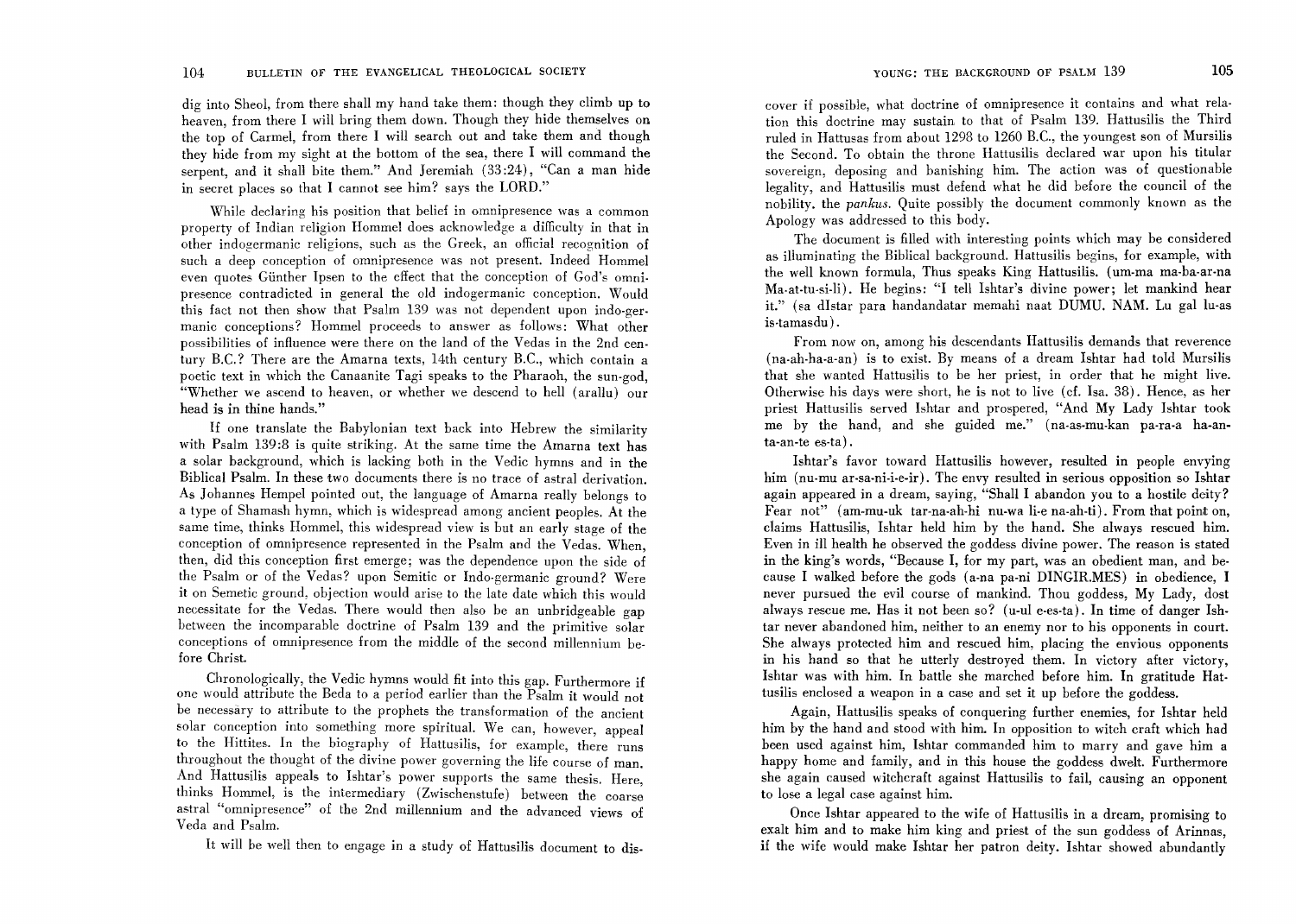dig into Sheol, from there shall my hand take them: though they climb up to heaven, from there I will bring them down. Though they hide themselves on the top of Carmel, from there I will search out and take them and though they hide from my sight at the bottom of the sea, there I will command the serpent, and it shall bite them." And Jeremiah (33 :24), "Can a man hide in secret places so that I cannot see him? says the LORD."

While declaring his position that belief in omnipresence was a common property of Indian religion Hommel does acknowledge a difficulty in that in other indogermanic religions, such as the Greek, an official recognition of such a deep conception of omnipresence was not present. Indeed Hommel even quotes Gunther Ipsen to the effect that the conception of God's omnipresence contradicted in general the old indogermanic conception. Would this fact not then show that Psalm 139 was not dependent upon indo-germanic conceptions? Hommel proceeds to answer as follows: What other possibilities of influence were there on the land of the Vedas in the 2nd century B.C.? There are the Amarna texts, 14th century B.C., which contain a poetic text in which the Canaanite Tagi speaks to the Pharaoh, the sun-god, "Whether we ascend to heaven, or whether we descend to hell (arallu) our head is in thine hands."

If one translate the Babylonian text back into Hebrew the similarity with Psalm 139:8 is quite striking. At the same time the Amarna text has a solar background, which is lacking both in the Vedic hymns and in the Biblical Psalm. In these two documents there is no trace of astral derivation\_ As Johannes Hempel pointed out, the language of Amarna really belongs to a type of Shamash hymn, which is widespread among ancient peoples. At the same time, thinks Hommel, this widespread view is but an early stage of the conception of omnipresence represented in the Psalm and the Vedas. When, then, did this conception first emerge; was the dependence upon the side of the Psalm or of the Vedas? upon Semitic or Indo-germanic ground? Were it on Semetic ground, objection would arise to the late date which this would necessitate for the Vedas. There would then also be an unbridgeable gap between the incomparable doctrine of Psalm 139 and the primitive solar conceptions of omnipresence from the middle of the second millennium before Christ\_

Chronologically, the Vedic hymns would fit into this gap. Furthermore if one would attribute the Beda to a period earlier than the Psalm it would not be necessary to attribute to the prophets the transformation of the ancient solar conception into something more spiritual. We can, however, appeal to the Hittites. In the biography of Hattusilis, for example, there runs throughout the thought of the divine power governing the life course of man. And Hattusilis appeals to Ishtar's power supports the same thesis. Here, thinks Hommel, is the intermediary (Zwischenstufe) between the coarse astral "omnipresence" of the 2nd millennium and the advanced views of Veda and Psalm.

It will be well then to engage in a study of Hattusilis document to dis-

cover if possible, what doctrine of omnipresence it contains and what relation this doctrine may sustain to that of Psalm 139. Hattusilis the Third ruled in Hattusas from about 1298 to 1260 B.c., the youngest son of Mursilis the Second. To obtain the throne Hattusilis declared war upon his titular sovereign, deposing and banishing him. The action was of questionable legality, and Hattusilis must defend what he did before the council of the nobility. the *pankus.* Quite possibly the document commonly known as the Apology was addressed to this body.

The document is filled with interesting points which may be considered as illuminating the Biblical background. Hattusilis begins, for example, with the well known formula, Thus speaks King Hattusilis. (um-ma ma-ba-ar-na Ma.at-tu-si-li). He begins: "I tell Ishtar's divine power; let mankind hear it." (sa dIstar para handandatar memahi naat DUMU. NAM. Lu gal lu-as is·tamasdu) .

From now on, among his descendants Hattusilis demands that reverence (na·ah-ha-a-an) is to exist. By means of a dream Ishtar had told Mursilis that she wanted Hattusilis to be her priest, in order that he might live. Otherwise his days were short, he is not to live (cf. Isa. 38). Hence, as her priest Hattusilis served Ishtar and prospered, "And My Lady Ishtar took me by the hand, and she guided me." (na-as-mu-kan pa-ra-a ha-anta-an-te es-ta) .

Ishtar's favor toward Hattusilis however, resulted in people envying him (nu-mu ar-sa-ni-i-e-ir). The envy resulted in serious opposition so Ishtar again appeared in a dream, saying, "Shall I abandon you to a hostile deity? Fear not" (am-mu-uk tar-na-ah-hi nu-wa li-e na-ah-ti). From that point on, claims Hattusilis, Ishtar held him by the hand. She always rescued him. Even in ill health he observed the goddess divine power. The reason is stated in the king's words, "Because I, for my part, was an obedient man, and because I walked before the gods (a-na pa-ni DINGIR.MES) in obedience, I never pursued the evil course of mankind. Thou goddess, My Lady, dost always rescue me. Has it not been so? (u-ul e-es-ta). In time of danger Ishtar never abandoned him, neither to an enemy nor to his opponents in court. She always protected him and rescued him, placing the envious opponents in his hand so that he utterly destroyed them. In victory after victory, Ishtar was with him. In battle she marched before him. In gratitude Hattusilis enclosed a weapon in a case and set it up before the goddess.

Again, Hattusilis speaks of conquering further enemies, for Ishtar held him by the hand and stood with him. In opposition to witch craft which had been used against him, Ishtar commanded him to marry and gave him a happy home and family, and in this house the goddess dwelt. Furthermore she again caused witchcraft against Hattusilis to fail, causing an opponent to lose a legal case against him.

Once Ishtar appeared to the wife of Hattusilis in a dream, promising to exalt him and to make him king and priest of the sun goddess of Arinnas, if the wife would make Ishtar her patron deity. Ishtar showed abundantly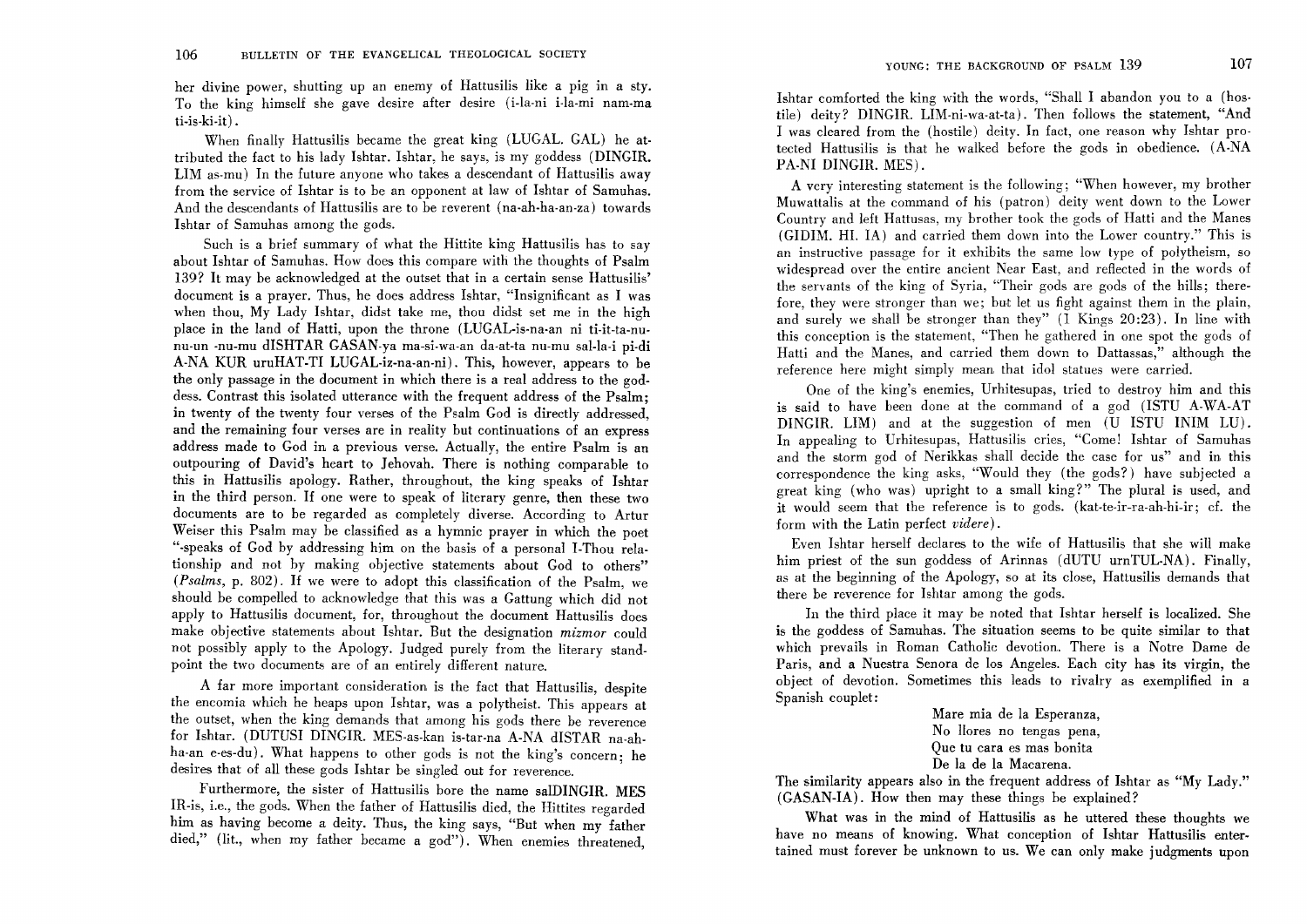her divine power, shutting up an enemy of Hattusilis like a pig in a sty. To the king himself she gave desire after desire (i-la-ni i-la-mi nam-ma ti-is-ki-it) .

When finally Hattusilis became the great king (LUGAL. GAL) he attributed the fact to his lady Ishtar. Ishtar, he says, is my goddess (DINGIR. LIM as-mu) In the future anyone who takes a descendant of Hattusilis away from the service of Ishtar is to be an opponent at law of Ishtar of Samuhas. And the descendants of Hattusilis are to be reverent (na-ah-ha-an-za) towards Ishtar of Samuhas among the gods.

Such is a brief summary of what the Hittite king Hattusilis has to say about Ishtar of Samuhas. How does this compare with the thoughts of Psalm 139? It may be acknowledged at the outset that in a certain sense Hattusilis' document is a prayer. Thus, he does address Ishtar, "Insignificant as I was when thou, My Lady Ishtar, didst take me, thou didst set me in the high place in the land of Hatti, upon the throne (LUGAL-is-na-an ni ti-it-ta-nunu-un -nu-mu dISHTAR GASAN-ya ma-si-wa-an da-at-ta nu-mu sal-la-i pi-di A-NA KUR uruHAT-TI LUGAL-iz-na-an-ni). This, however, appears to be the only passage in the document in which there is a real address to the goddess. Contrast this isolated utterance with the frequent address of the Psalm: in twenty of the twenty four verses of the Psalm God is directly addressed: and the remaining four verses are in reality but continuations of an express address made to God in a previous verse. Actually, the entire Psalm is an outpouring of David's heart to Jehovah. There is nothing comparable to this in Hattusilis apology. Rather, throughout, the king speaks of Ishtar in the third person. If one were to speak of literary genre, then these two documents are to be regarded as completely diverse. According to Artur Weiser this Psalm may be classified as a hymnic prayer in which the poet "-speaks of God by addressing him on the basis of a personal I-Thou relationship and not by making objective statements about God to others" *(Psalms,* p. 802). If we were to adopt this classification of the Psalm, we should be compelled to acknowledge that this was a Gattung which did not apply to Hattusilis document, for, throughout the document Hattusilis does make objective statements about Ishtar. But the designation *mizmor* could not possibly apply to the Apology. Judged purely from the literary standpoint the two documents are of an entirely different nature.

A far more important consideration is the fact that Hattusilis, despite the encomia which he heaps upon Ishtar, was a polytheist. This appears at the outset, when the king demands that among his gods there be reverence for Ishtar. (DUTUSI DINGIR. MES-as-kan is-tar-na A-NA dISTAR na-ahha-an e-es-du). What happens to other gods is not the king's concern: he desires that of all these gods Ishtar be singled out for reverence.

Furthermore, the sister of Hattusilis bore the name salDINGIR. MES IR-is, i.e., the gods. When the father of Hattusilis died, the Hittites regarded him as having become a deity. Thus, the king says, "But when my father died," (lit., when my father became a god"). When enemies threatened,

Ishtar comforted the king with the words, "Shall I abandon you to a (hostile) deity? DINGIR. LIM-ni-wa-at-ta). Then follows the statement, "And I was cleared from the (hostile) deity. In fact, one reason why Ishtar protected Hattusilis is that he walked before the gods in obedience. (A-NA PA-NI DINGIR. MES).

A very interesting statement is the following; "When however, my brother Muwattalis at the command of his (patron) deity went down to the Lower Country and left Hattusas, my brother took the gods of Hatti and the Manes (GIDIM. HI. IA) and carried them down into the Lower country." This is an instructive passage for it exhibits the same low type of polytheism, so widespread over the entire ancient Near East, and reflected in the words of the servants of the king of Syria, "Their gods are gods of the hills; therefore, they were stronger than we; but let us fight against them in the plain, and surely we shall be stronger than they" (1 Kings 20:23). In line with this conception is the statement, "Then he gathered in one spot the gods of Hatti and the Manes, and carried them down to Dattassas," although the reference here might simply mean that idol statues were carried.

One of the king's enemies, Urhitesupas, tried to destroy him and this is said to have been done at the command of a god (lSTU A-WA-AT DINGIR. LIM) and at the suggestion of men  $(U$  ISTU INIM LU). In appealing to Urhitesupas, Hattusilis cries, "Come! Ishtar of Samuhas and the storm god of Nerikkas shall decide the case for us" and in this correspondence the king asks, "Would they (the gods?) have subjected a great king (who was) upright to a small king?" The plural is used, and it would seem that the reference is to gods. (kat-te-ir-ra-ah-hi-ir; cf. the form with the Latin perfect *videre).* 

Even Ishtar herself declares to the wife of Hattusilis that she will make him priest of the sun goddess of Arinnas (dUTU urnTUL-NA). Finally, as at the beginning of the Apology, so at its close, Hattusilis demands that there be reverence for Ishtar among the gods.

In the third place it may be noted that Ishtar herself is localized. She is the goddess of Samuhas. The situation seems to be quite similar to that which prevails in Roman Catholic devotion. There is a Notre Dame de Paris, and a Nuestra Senora de los Angeles. Each city has its virgin, the object of devotion. Sometimes this leads to rivalry as exemplified in a Spanish couplet:

> Mare mia de la Esperanza, No Hores no tengas pena, Que tu cara es mas bonita De la de la Macarena.

The similarity appears also in the frequent address of Ishtar as "My Lady." (GASAN-IA). How then may these things be explained?

What was in the mind of Hattusilis as he uttered these thoughts we have no means of knowing. What conception of Ishtar Hattusilis entertained must forever be unknown to us. We can only make judgments upon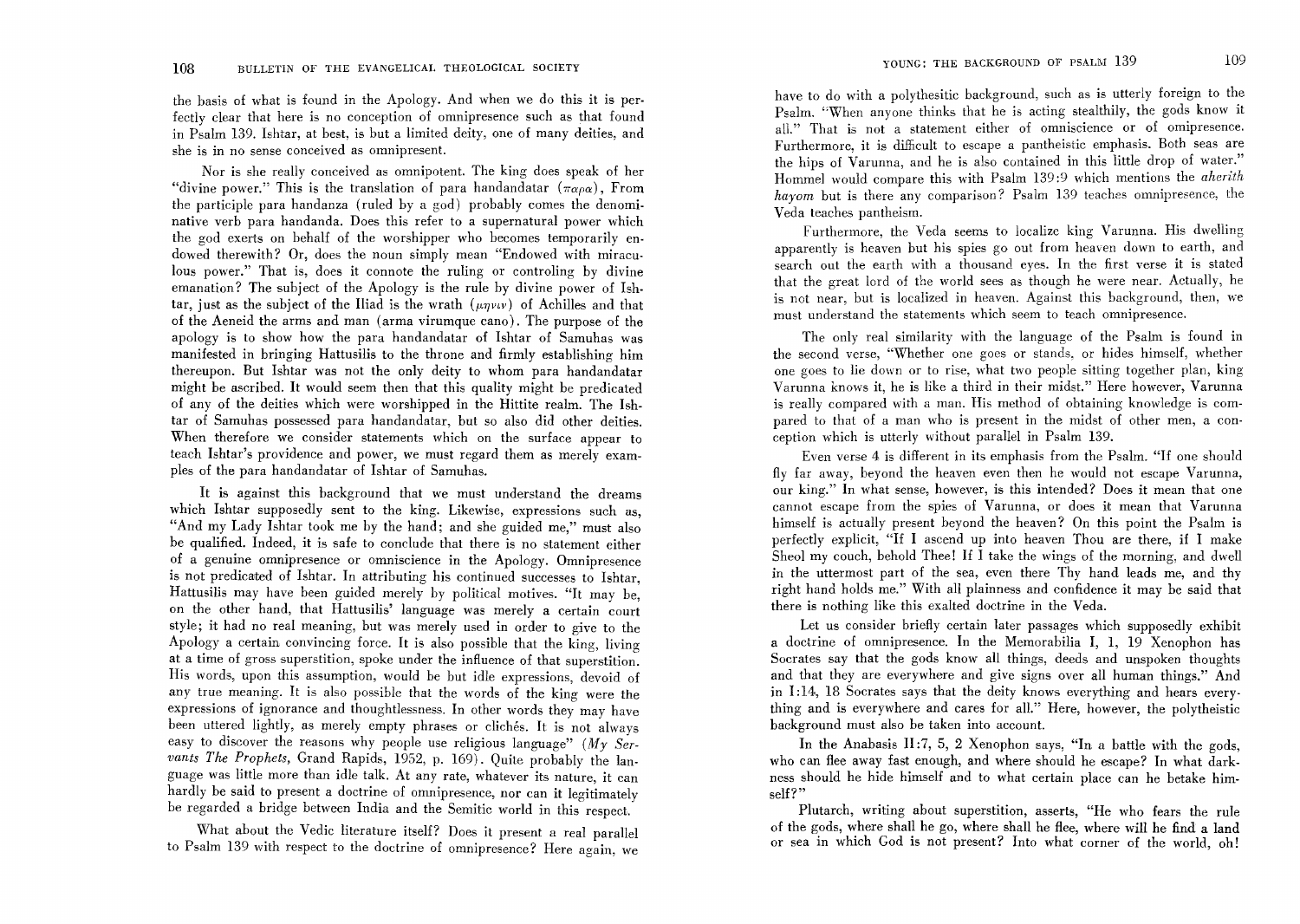the basis of what is found in the Apology. And when we do this it is perfectly clear that here is no conception of omnipresence such as that found in Psalm 139. Ishtar, at best, is but a limited deity, one of many deities, and she is in no sense conceived as omnipresent.

Nor is she really conceived as omnipotent. The king does speak of her "divine power." This is the translation of para handandatar  $(\pi_{\alpha\rho\alpha})$ , From the participle para handanza (ruled by a god) probably comes the denominative verb para handanda. Does this refer to a supernatural power which the god exerts on behalf of the worshipper who becomes temporarily endowed therewith? Or, does the noun simply mean "Endowed with miraculous power." That is, does it connote the ruling or controling by divine emanation? The subject of the Apology is the rule by divine power of Ishtar, just as the subject of the Iliad is the wrath  $(\mu\eta\nu\iota\nu)$  of Achilles and that of the Aeneid the arms and man (arma virumque cano). The purpose of the apology is to show how the para handandatar of Ishtar of Samuhas was manifested in bringing Hattusilis to the throne and firmly establishing him thereupon. But Ishtar was not the only deity to whom para handandatar might be ascribed. It would seem then that this quality might be predicated of any of the deities which were worshipped in the Hittite realm. The Ishtar of Samuhas possessed para handandatar, but so also did other deities. When therefore we consider statements which on the surface appear to teach Ishtar's providence and power, we must regard them as merely examples of the para handandatar of Ishtar of Samuhas.

It is against this background that we must understand the dreams which Ishtar supposedly sent to the king. Likewise, expressions such as, "And my Lady Ishtar took me by the hand; and she guided me," must also be qualified. Indeed, it is safe to conclude that there is no statement either of a genuine omnipresence or omniscience in the Apology. Omnipresence is not predicated of Ishtar. In attributing his continued successes to Ishtar, Hattusilis may have been guided merely by political motives. "It may be, on the other hand, that Hattusilis' language was merely a certain court style; it had no real meaning, but was merely used in order to give to the Apology a certain convincing force. It is also possible that the king, living at a time of gross superstition, spoke under the influence of that superstition. His words, upon this assumption, would be but idle expressions, devoid of any true meaning. It is also possible that the words of the king were the expressions of ignorance and thoughtlessness. In other words they may have been uttered lightly, as merely empty phrases or cliches. It is not always easy to discover the reasons why people use religious language" *(My Servants The Prophets,* Grand Rapids, 1952, p. 169). Quite probably the language was little more than idle talk. At any rate, whatever its nature, it can hardly be said to present a doctrine of omnipresence, nor can it legitimately be regarded a bridge between India and the Semitic world in this respect.

What about the Vedic literature itself? Does it present a real parallel to Psalm 139 with respect to the doctrine of omnipresence? Here again, we have to do with a polythesitic background, such as is utterly foreign to the Psalm. "When anyone thinks that he is acting stealthily, the gods know it all." That is not a statement either of omniscience or of omipresence. Furthermore, it is difficult to escape a pantheistic emphasis. Both seas are the hips of Varunna, and he is also contained in this little drop of water." Hommel would compare this with Psalm 139:9 which mentions the *aherith hayom* but is there any comparison? Psalm 139 teaches omnipresence, the Veda teaches pantheism.

Furthermore, the Veda seems to localize king Varunna. His dwelling apparently is heaven but his spies go out from heaven down to earth, and search out the earth with a thousand eyes. In the first verse it is stated that the great lord of the world sees as though he were near. Actually, he is not near, but is localized in heaven. Against this background, then, we must understand the statements which seem to teach omnipresence.

The only real similarity with the language of the Psahn is found in the second verse, "Whether one goes or stands, or hides himself, whether one goes to lie down or to rise, what two people sitting together plan, king Varunna knows it, he is like a third in their midst." Here however, Varunna is really compared with a man. His method of obtaining knowledge is compared to that of a man who is present in the midst of other men, a con· ception which is utterly without paraliel in Psalm 139.

Even verse 4 is different in its emphasis from the Psalm. "If one should fly far away, beyond the heaven even then he would not escape Varunna, our king." In what sense, however, is this intended? Does it mean that one cannot escape from the spies of Varunna, or does it mean that Varunna himself is actually present beyond the heaven? On this point the Psalm is perfectly explicit, "If I ascend up into heaven Thou are there, if I make Sheol my couch, behold Thee! If I take the wings of the morning, and dwell in the uttermost part of the sea, even there Thy hand leads me, and thy right hand holds me." With all plainness and confidence it may be said that there is nothing like this exalted doctrine in the Veda.

Let us consider briefly certain later passages which supposedly exhibit a doctrine of omnipresence. In the Memorabilia I, 1, 19 Xenophon has Socrates say that the gods know all things, deeds and unspoken thoughts and that they are everywhere and give signs over all human things." And in 1:14, 18 Socrates says that the deity knows everything and hears everything and is everywhere and cares for all." Here, however, the polytheistic background must also be taken into account.

In the Anabasis II:7, 5, 2 Xenophon says, "In a battle with the gods, who can flee away fast enough, and where should he escape? In what darkness should he hide himself and to what certain place can he betake himself?"

Plutarch, writing about superstition, asserts, "He who fears the rule of the gods, where shall he go, where shall he flee, where will he find a land or sea in which God is not present? Into what corner of the world, oh!